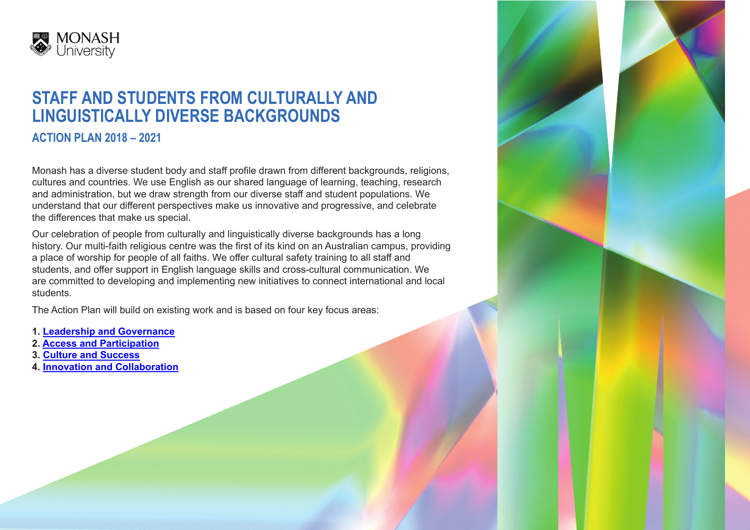

# **STAFF AND STUDENTS FROM CULTURALLY AND LINGUISTICALLY DIVERSE BACKGROUNDS ACTION PLAN 2018 – 2021**

Monash has a diverse student body and staff profile drawn from different backgrounds, religions, cultures and countries. We use English as our shared language of learning, teaching, research and administration, but we draw strength from our diverse staff and student populations. We understand that our different perspectives make us innovative and progressive, and celebrate the differences that make us special.

Our celebration of people from culturally and linguistically diverse backgrounds has a long history. Our multi-faith religious centre was the first of its kind on an Australian campus, providing a place of worship for people of all faiths. We offer cultural safety training to all staff and students, and offer support in English language skills and cross-cultural communication. We are committed to developing and implementing new initiatives to connect international and local students.

The Action Plan will build on existing work and is based on four key focus areas:

- **1. [Leadership and Governance](#page-1-0)**
- **2. [Access and Participation](#page-2-0)**
- **3. [Culture and Success](#page-3-0)**
- **4. [Innovation and Collaboration](#page-5-0)**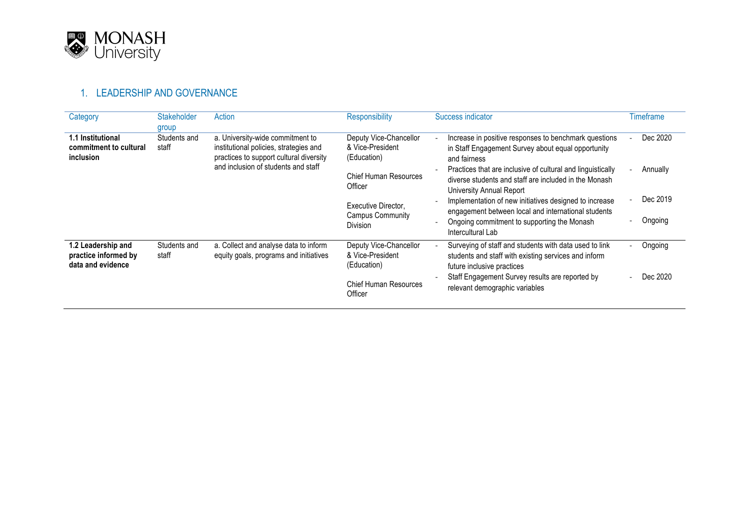<span id="page-1-0"></span>

### 1. LEADERSHIP AND GOVERNANCE

| Category                                                        | Stakeholder<br>group  | Action                                                                                                                | <b>Responsibility</b>                                      | Success indicator                                                                                                                                                                 | <b>Timeframe</b>    |
|-----------------------------------------------------------------|-----------------------|-----------------------------------------------------------------------------------------------------------------------|------------------------------------------------------------|-----------------------------------------------------------------------------------------------------------------------------------------------------------------------------------|---------------------|
| 1.1 Institutional<br>commitment to cultural<br><i>inclusion</i> | Students and<br>staff | a. University-wide commitment to<br>institutional policies, strategies and<br>practices to support cultural diversity | Deputy Vice-Chancellor<br>& Vice-President<br>(Education)  | Increase in positive responses to benchmark questions<br>in Staff Engagement Survey about equal opportunity<br>and fairness                                                       | Dec 2020            |
|                                                                 |                       | and inclusion of students and staff                                                                                   | Chief Human Resources<br>Officer                           | Practices that are inclusive of cultural and linguistically<br>diverse students and staff are included in the Monash<br>University Annual Report                                  | Annually            |
|                                                                 |                       |                                                                                                                       | Executive Director.<br>Campus Community<br><b>Division</b> | Implementation of new initiatives designed to increase<br>engagement between local and international students<br>Ongoing commitment to supporting the Monash<br>Intercultural Lab | Dec 2019<br>Ongoing |
| 1.2 Leadership and<br>practice informed by<br>data and evidence | Students and<br>staff | a. Collect and analyse data to inform<br>equity goals, programs and initiatives                                       | Deputy Vice-Chancellor<br>& Vice-President<br>(Education)  | Surveying of staff and students with data used to link<br>students and staff with existing services and inform<br>future inclusive practices                                      | Ongoing             |
|                                                                 |                       |                                                                                                                       | <b>Chief Human Resources</b><br>Officer                    | Staff Engagement Survey results are reported by<br>relevant demographic variables                                                                                                 | Dec 2020            |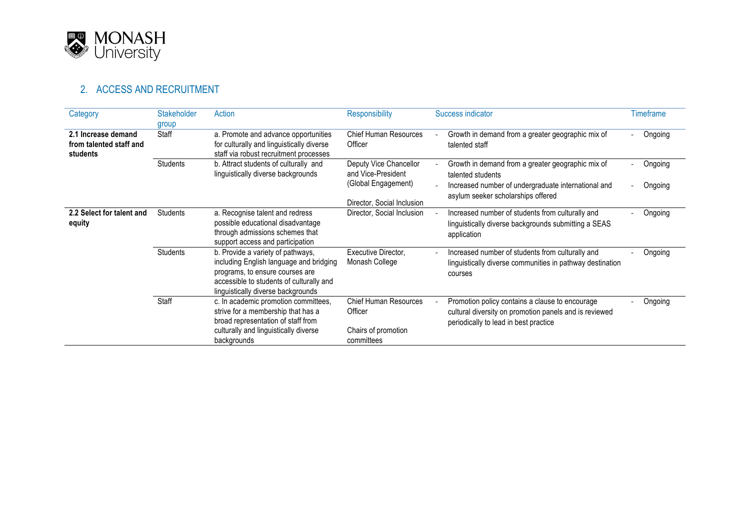<span id="page-2-0"></span>

### 2. ACCESS AND RECRUITMENT

| Category                                                   | <b>Stakeholder</b><br>group | Action                                                                                                                                                                                            | <b>Responsibility</b>                                                        | Success indicator                                                                                                                                  | <b>Timeframe</b> |
|------------------------------------------------------------|-----------------------------|---------------------------------------------------------------------------------------------------------------------------------------------------------------------------------------------------|------------------------------------------------------------------------------|----------------------------------------------------------------------------------------------------------------------------------------------------|------------------|
| 2.1 Increase demand<br>from talented staff and<br>students | Staff                       | a. Promote and advance opportunities<br>for culturally and linguistically diverse<br>staff via robust recruitment processes                                                                       | <b>Chief Human Resources</b><br>Officer                                      | Growth in demand from a greater geographic mix of<br>talented staff                                                                                | Ongoing          |
|                                                            | <b>Students</b>             | b. Attract students of culturally and<br>linguistically diverse backgrounds                                                                                                                       | Deputy Vice Chancellor<br>and Vice-President                                 | Growth in demand from a greater geographic mix of<br>talented students                                                                             | Ongoing          |
|                                                            |                             |                                                                                                                                                                                                   | (Global Engagement)<br>Director, Social Inclusion                            | Increased number of undergraduate international and<br>asylum seeker scholarships offered                                                          | Ongoing          |
| 2.2 Select for talent and<br>equity                        | Students                    | a. Recognise talent and redress<br>possible educational disadvantage<br>through admissions schemes that<br>support access and participation                                                       | Director, Social Inclusion                                                   | Increased number of students from culturally and<br>linguistically diverse backgrounds submitting a SEAS<br>application                            | Ongoing          |
|                                                            | <b>Students</b>             | b. Provide a variety of pathways,<br>including English language and bridging<br>programs, to ensure courses are<br>accessible to students of culturally and<br>linguistically diverse backgrounds | Executive Director,<br>Monash College                                        | Increased number of students from culturally and<br>linguistically diverse communities in pathway destination<br>courses                           | Ongoing          |
|                                                            | Staff                       | c. In academic promotion committees,<br>strive for a membership that has a<br>broad representation of staff from<br>culturally and linguistically diverse<br>backgrounds                          | <b>Chief Human Resources</b><br>Officer<br>Chairs of promotion<br>committees | Promotion policy contains a clause to encourage<br>cultural diversity on promotion panels and is reviewed<br>periodically to lead in best practice | Ongoing          |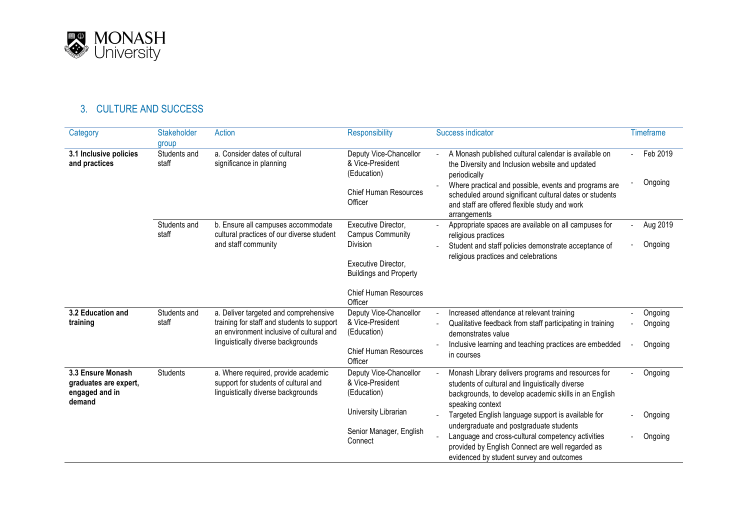<span id="page-3-0"></span>

## 3. CULTURE AND SUCCESS

| Stakeholder           | <b>Action</b>                                                                                                                                                         | <b>Responsibility</b>                                                                                                                                                | <b>Success indicator</b>                                                                                                                                                                                                                                                                                                                                                                     | Timeframe                                |
|-----------------------|-----------------------------------------------------------------------------------------------------------------------------------------------------------------------|----------------------------------------------------------------------------------------------------------------------------------------------------------------------|----------------------------------------------------------------------------------------------------------------------------------------------------------------------------------------------------------------------------------------------------------------------------------------------------------------------------------------------------------------------------------------------|------------------------------------------|
| Students and<br>staff | a. Consider dates of cultural<br>significance in planning                                                                                                             | Deputy Vice-Chancellor<br>& Vice-President<br>(Education)<br><b>Chief Human Resources</b><br>Officer                                                                 | A Monash published cultural calendar is available on<br>the Diversity and Inclusion website and updated<br>periodically<br>Where practical and possible, events and programs are<br>scheduled around significant cultural dates or students<br>and staff are offered flexible study and work<br>arrangements                                                                                 | Feb 2019<br>Ongoing                      |
| Students and<br>staff | b. Ensure all campuses accommodate<br>cultural practices of our diverse student<br>and staff community                                                                | Executive Director,<br><b>Campus Community</b><br><b>Division</b><br>Executive Director.<br><b>Buildings and Property</b><br><b>Chief Human Resources</b><br>Officer | Appropriate spaces are available on all campuses for<br>religious practices<br>Student and staff policies demonstrate acceptance of<br>religious practices and celebrations                                                                                                                                                                                                                  | Aug 2019<br>Ongoing                      |
| Students and<br>staff | a. Deliver targeted and comprehensive<br>training for staff and students to support<br>an environment inclusive of cultural and<br>linguistically diverse backgrounds | Deputy Vice-Chancellor<br>& Vice-President<br>(Education)<br><b>Chief Human Resources</b><br>Officer                                                                 | Increased attendance at relevant training<br>Qualitative feedback from staff participating in training<br>demonstrates value<br>Inclusive learning and teaching practices are embedded<br>in courses                                                                                                                                                                                         | Ongoing<br>Ongoing<br>Ongoing            |
| <b>Students</b>       | a. Where required, provide academic<br>support for students of cultural and<br>linguistically diverse backgrounds                                                     | Deputy Vice-Chancellor<br>& Vice-President<br>(Education)<br>University Librarian<br>Senior Manager, English<br>Connect                                              | Monash Library delivers programs and resources for<br>students of cultural and linguistically diverse<br>backgrounds, to develop academic skills in an English<br>speaking context<br>Targeted English language support is available for<br>undergraduate and postgraduate students<br>Language and cross-cultural competency activities<br>provided by English Connect are well regarded as | Ongoing<br>Ongoing<br>Ongoing            |
|                       | group                                                                                                                                                                 |                                                                                                                                                                      |                                                                                                                                                                                                                                                                                                                                                                                              | evidenced by student survey and outcomes |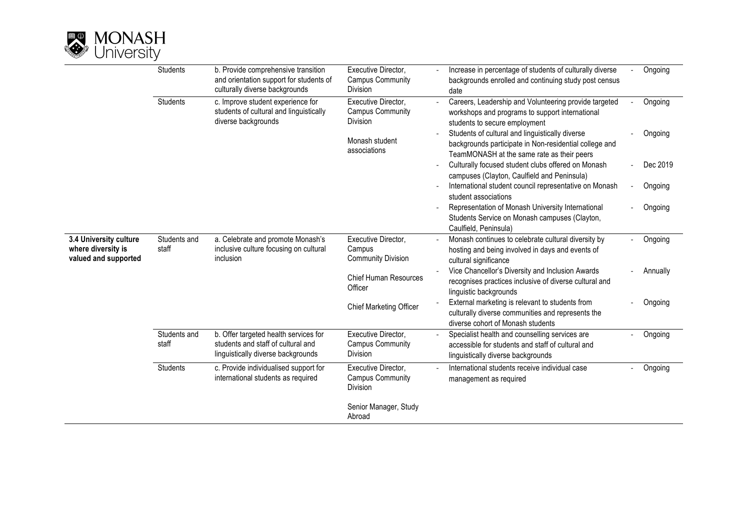

|                                                                      | <b>Students</b>       | b. Provide comprehensive transition<br>and orientation support for students of<br>culturally diverse backgrounds  | Executive Director,<br><b>Campus Community</b><br>Division        | Increase in percentage of students of culturally diverse<br>Ongoing<br>backgrounds enrolled and continuing study post census<br>date                                               |
|----------------------------------------------------------------------|-----------------------|-------------------------------------------------------------------------------------------------------------------|-------------------------------------------------------------------|------------------------------------------------------------------------------------------------------------------------------------------------------------------------------------|
|                                                                      | <b>Students</b>       | c. Improve student experience for<br>students of cultural and linguistically<br>diverse backgrounds               | Executive Director,<br><b>Campus Community</b><br><b>Division</b> | Careers, Leadership and Volunteering provide targeted<br>Ongoing<br>workshops and programs to support international<br>students to secure employment                               |
|                                                                      |                       |                                                                                                                   | Monash student<br>associations                                    | Students of cultural and linguistically diverse<br>Ongoing<br>backgrounds participate in Non-residential college and<br>TeamMONASH at the same rate as their peers                 |
|                                                                      |                       |                                                                                                                   |                                                                   | Dec 2019<br>Culturally focused student clubs offered on Monash<br>campuses (Clayton, Caulfield and Peninsula)<br>International student council representative on Monash<br>Ongoing |
|                                                                      |                       |                                                                                                                   |                                                                   | student associations<br>Representation of Monash University International<br>Ongoing<br>Students Service on Monash campuses (Clayton,<br>Caulfield, Peninsula)                     |
| 3.4 University culture<br>where diversity is<br>valued and supported | Students and<br>staff | a. Celebrate and promote Monash's<br>inclusive culture focusing on cultural<br>inclusion                          | Executive Director,<br>Campus<br><b>Community Division</b>        | Monash continues to celebrate cultural diversity by<br>Ongoing<br>hosting and being involved in days and events of<br>cultural significance                                        |
|                                                                      |                       |                                                                                                                   | <b>Chief Human Resources</b><br>Officer                           | Vice Chancellor's Diversity and Inclusion Awards<br>Annually<br>recognises practices inclusive of diverse cultural and<br>linguistic backgrounds                                   |
|                                                                      |                       |                                                                                                                   | Chief Marketing Officer                                           | External marketing is relevant to students from<br>Ongoing<br>culturally diverse communities and represents the<br>diverse cohort of Monash students                               |
|                                                                      | Students and<br>staff | b. Offer targeted health services for<br>students and staff of cultural and<br>linguistically diverse backgrounds | Executive Director,<br><b>Campus Community</b><br>Division        | Specialist health and counselling services are<br>Ongoing<br>accessible for students and staff of cultural and<br>linguistically diverse backgrounds                               |
|                                                                      | <b>Students</b>       | c. Provide individualised support for<br>international students as required                                       | Executive Director,<br><b>Campus Community</b><br><b>Division</b> | International students receive individual case<br>Ongoing<br>management as required                                                                                                |
|                                                                      |                       |                                                                                                                   | Senior Manager, Study<br>Abroad                                   |                                                                                                                                                                                    |